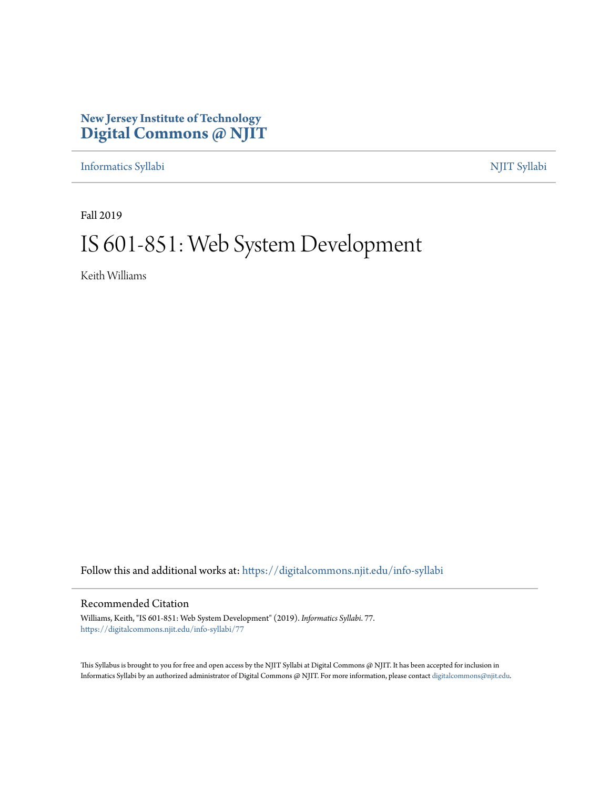# **New Jersey Institute of Technology [Digital Commons @ NJIT](https://digitalcommons.njit.edu/?utm_source=digitalcommons.njit.edu%2Finfo-syllabi%2F77&utm_medium=PDF&utm_campaign=PDFCoverPages)**

[Informatics Syllabi](https://digitalcommons.njit.edu/info-syllabi?utm_source=digitalcommons.njit.edu%2Finfo-syllabi%2F77&utm_medium=PDF&utm_campaign=PDFCoverPages) [NJIT Syllabi](https://digitalcommons.njit.edu/syllabi?utm_source=digitalcommons.njit.edu%2Finfo-syllabi%2F77&utm_medium=PDF&utm_campaign=PDFCoverPages)

Fall 2019

# IS 601-851: Web System Development

Keith Williams

Follow this and additional works at: [https://digitalcommons.njit.edu/info-syllabi](https://digitalcommons.njit.edu/info-syllabi?utm_source=digitalcommons.njit.edu%2Finfo-syllabi%2F77&utm_medium=PDF&utm_campaign=PDFCoverPages)

#### Recommended Citation

Williams, Keith, "IS 601-851: Web System Development" (2019). *Informatics Syllabi*. 77. [https://digitalcommons.njit.edu/info-syllabi/77](https://digitalcommons.njit.edu/info-syllabi/77?utm_source=digitalcommons.njit.edu%2Finfo-syllabi%2F77&utm_medium=PDF&utm_campaign=PDFCoverPages)

This Syllabus is brought to you for free and open access by the NJIT Syllabi at Digital Commons @ NJIT. It has been accepted for inclusion in Informatics Syllabi by an authorized administrator of Digital Commons @ NJIT. For more information, please contact [digitalcommons@njit.edu.](mailto:digitalcommons@njit.edu)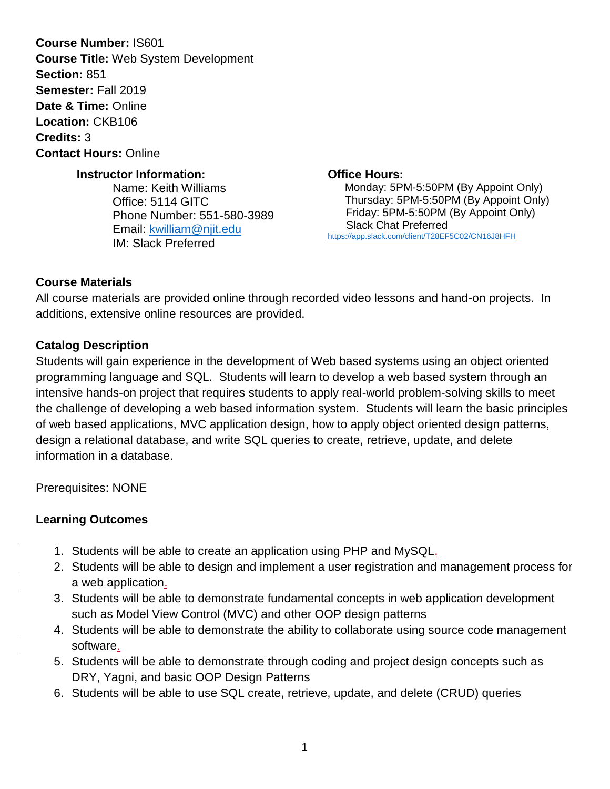**Course Number:** IS601 **Course Title:** Web System Development **Section:** 851 **Semester:** Fall 2019 **Date & Time:** Online **Location:** CKB106 **Credits:** 3 **Contact Hours:** Online

#### **Instructor Information:**

Name: Keith Williams Office: 5114 GITC Phone Number: 551-580-3989 Email: [kwilliam@njit.edu](mailto:kwilliam@njit.edu) IM: Slack Preferred

**Office Hours:** Monday: 5PM-5:50PM (By Appoint Only) Thursday: 5PM-5:50PM (By Appoint Only) Friday: 5PM-5:50PM (By Appoint Only) Slack Chat Preferred <https://app.slack.com/client/T28EF5C02/CN16J8HFH>

#### **Course Materials**

All course materials are provided online through recorded video lessons and hand-on projects. In additions, extensive online resources are provided.

#### **Catalog Description**

Students will gain experience in the development of Web based systems using an object oriented programming language and SQL. Students will learn to develop a web based system through an intensive hands-on project that requires students to apply real-world problem-solving skills to meet the challenge of developing a web based information system. Students will learn the basic principles of web based applications, MVC application design, how to apply object oriented design patterns, design a relational database, and write SQL queries to create, retrieve, update, and delete information in a database.

Prerequisites: NONE

### **Learning Outcomes**

- 1. Students will be able to create an application using PHP and MySQL.
- 2. Students will be able to design and implement a user registration and management process for a web application.
- 3. Students will be able to demonstrate fundamental concepts in web application development such as Model View Control (MVC) and other OOP design patterns
- 4. Students will be able to demonstrate the ability to collaborate using source code management software.
- 5. Students will be able to demonstrate through coding and project design concepts such as DRY, Yagni, and basic OOP Design Patterns
- 6. Students will be able to use SQL create, retrieve, update, and delete (CRUD) queries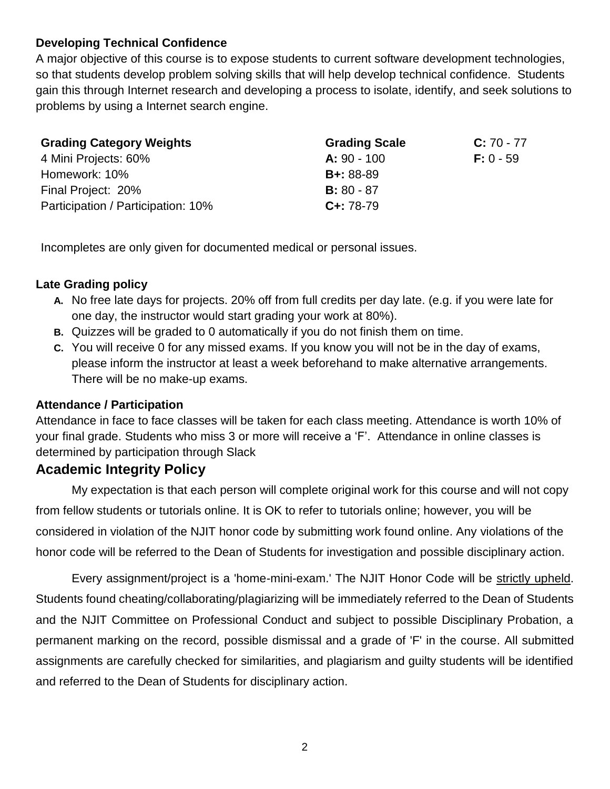## **Developing Technical Confidence**

A major objective of this course is to expose students to current software development technologies, so that students develop problem solving skills that will help develop technical confidence. Students gain this through Internet research and developing a process to isolate, identify, and seek solutions to problems by using a Internet search engine.

| <b>Grading Category Weights</b>    | <b>Grading Scale</b>         | $C: 70 - 77$ |
|------------------------------------|------------------------------|--------------|
| 4 Mini Projects: 60%               | $A: 90 - 100$<br>$F: 0 - 59$ |              |
| Homework: 10%                      | $B + 88 - 89$                |              |
| Final Project: 20%                 | <b>B</b> : 80 - 87           |              |
| Participation / Participation: 10% | $C_{+}$ : 78-79              |              |

Incompletes are only given for documented medical or personal issues.

#### **Late Grading policy**

- **A.** No free late days for projects. 20% off from full credits per day late. (e.g. if you were late for one day, the instructor would start grading your work at 80%).
- **B.** Quizzes will be graded to 0 automatically if you do not finish them on time.
- **C.** You will receive 0 for any missed exams. If you know you will not be in the day of exams, please inform the instructor at least a week beforehand to make alternative arrangements. There will be no make-up exams.

### **Attendance / Participation**

Attendance in face to face classes will be taken for each class meeting. Attendance is worth 10% of your final grade. Students who miss 3 or more will receive a 'F'. Attendance in online classes is determined by participation through Slack

### **Academic Integrity Policy**

My expectation is that each person will complete original work for this course and will not copy from fellow students or tutorials online. It is OK to refer to tutorials online; however, you will be considered in violation of the NJIT honor code by submitting work found online. Any violations of the honor code will be referred to the Dean of Students for investigation and possible disciplinary action.

Every assignment/project is a 'home-mini-exam.' The NJIT Honor Code will be strictly upheld. Students found cheating/collaborating/plagiarizing will be immediately referred to the Dean of Students and the NJIT Committee on Professional Conduct and subject to possible Disciplinary Probation, a permanent marking on the record, possible dismissal and a grade of 'F' in the course. All submitted assignments are carefully checked for similarities, and plagiarism and guilty students will be identified and referred to the Dean of Students for disciplinary action.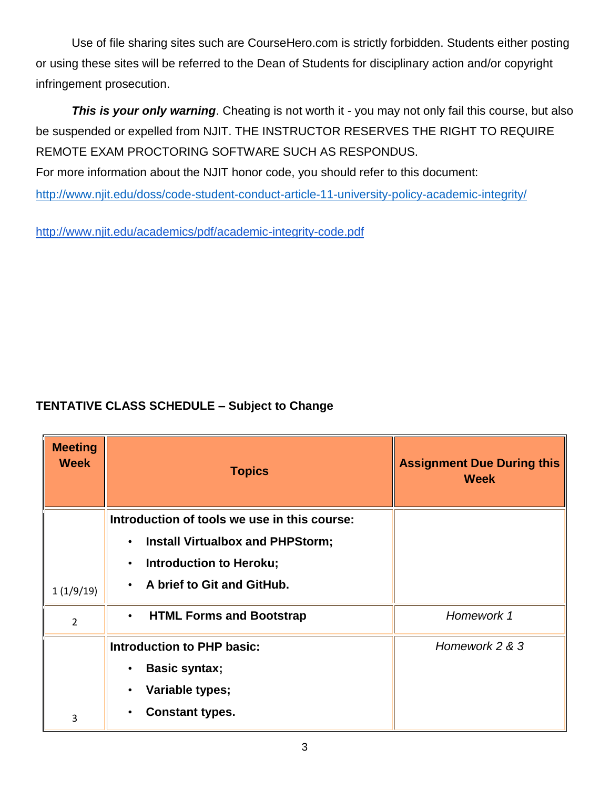Use of file sharing sites such are CourseHero.com is strictly forbidden. Students either posting or using these sites will be referred to the Dean of Students for disciplinary action and/or copyright infringement prosecution.

**This is your only warning**. Cheating is not worth it - you may not only fail this course, but also be suspended or expelled from NJIT. THE INSTRUCTOR RESERVES THE RIGHT TO REQUIRE REMOTE EXAM PROCTORING SOFTWARE SUCH AS RESPONDUS.

For more information about the NJIT honor code, you should refer to this document:

<http://www.njit.edu/doss/code-student-conduct-article-11-university-policy-academic-integrity/>

<http://www.njit.edu/academics/pdf/academic-integrity-code.pdf>

## **TENTATIVE CLASS SCHEDULE – Subject to Change**

| <b>Meeting</b><br><b>Week</b> | <b>Topics</b>                                        | <b>Assignment Due During this</b><br><b>Week</b> |
|-------------------------------|------------------------------------------------------|--------------------------------------------------|
|                               | Introduction of tools we use in this course:         |                                                  |
|                               | <b>Install Virtualbox and PHPStorm;</b><br>$\bullet$ |                                                  |
|                               | <b>Introduction to Heroku;</b><br>$\bullet$          |                                                  |
| 1(1/9/19)                     | A brief to Git and GitHub.                           |                                                  |
| $\overline{2}$                | <b>HTML Forms and Bootstrap</b><br>$\bullet$         | Homework 1                                       |
|                               | <b>Introduction to PHP basic:</b>                    | Homework 2 & 3                                   |
|                               | <b>Basic syntax;</b>                                 |                                                  |
|                               | Variable types;                                      |                                                  |
| 3                             | <b>Constant types.</b><br>$\bullet$                  |                                                  |